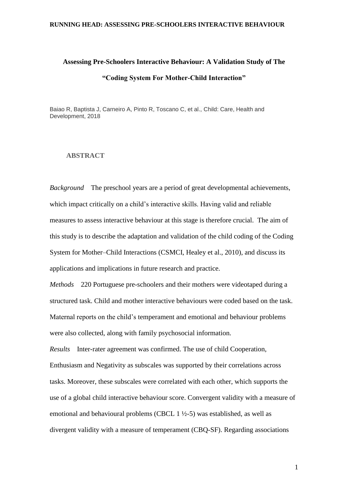# **Assessing Pre-Schoolers Interactive Behaviour: A Validation Study of The "Coding System For Mother-Child Interaction"**

Baiao R, Baptista J, Carneiro A, Pinto R, Toscano C, et al., Child: Care, Health and Development, 2018

# **ABSTRACT**

*Background* The preschool years are a period of great developmental achievements, which impact critically on a child's interactive skills. Having valid and reliable measures to assess interactive behaviour at this stage is therefore crucial. The aim of this study is to describe the adaptation and validation of the child coding of the Coding System for Mother–Child Interactions (CSMCI, Healey et al., 2010), and discuss its applications and implications in future research and practice.

*Methods* 220 Portuguese pre-schoolers and their mothers were videotaped during a structured task. Child and mother interactive behaviours were coded based on the task. Maternal reports on the child's temperament and emotional and behaviour problems were also collected, along with family psychosocial information.

*Results* Inter-rater agreement was confirmed. The use of child Cooperation, Enthusiasm and Negativity as subscales was supported by their correlations across tasks. Moreover, these subscales were correlated with each other, which supports the use of a global child interactive behaviour score. Convergent validity with a measure of emotional and behavioural problems (CBCL 1 ½-5) was established, as well as divergent validity with a measure of temperament (CBQ-SF). Regarding associations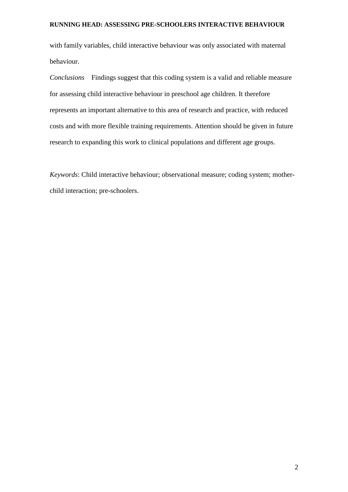with family variables, child interactive behaviour was only associated with maternal behaviour.

*Conclusions* Findings suggest that this coding system is a valid and reliable measure for assessing child interactive behaviour in preschool age children. It therefore represents an important alternative to this area of research and practice, with reduced costs and with more flexible training requirements. Attention should be given in future research to expanding this work to clinical populations and different age groups.

*Keywords*: Child interactive behaviour; observational measure; coding system; motherchild interaction; pre-schoolers.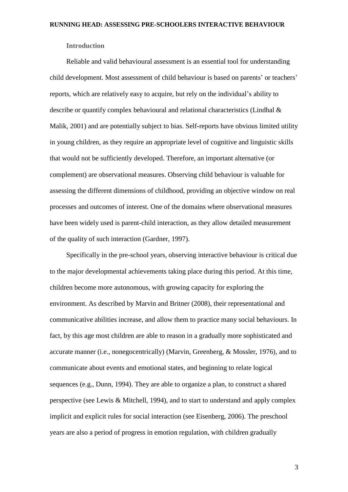# **Introduction**

Reliable and valid behavioural assessment is an essential tool for understanding child development. Most assessment of child behaviour is based on parents' or teachers' reports, which are relatively easy to acquire, but rely on the individual's ability to describe or quantify complex behavioural and relational characteristics (Lindhal & Malik, 2001) and are potentially subject to bias. Self-reports have obvious limited utility in young children, as they require an appropriate level of cognitive and linguistic skills that would not be sufficiently developed. Therefore, an important alternative (or complement) are observational measures. Observing child behaviour is valuable for assessing the different dimensions of childhood, providing an objective window on real processes and outcomes of interest. One of the domains where observational measures have been widely used is parent-child interaction, as they allow detailed measurement of the quality of such interaction (Gardner, 1997).

Specifically in the pre-school years, observing interactive behaviour is critical due to the major developmental achievements taking place during this period. At this time, children become more autonomous, with growing capacity for exploring the environment. As described by Marvin and Britner (2008), their representational and communicative abilities increase, and allow them to practice many social behaviours. In fact, by this age most children are able to reason in a gradually more sophisticated and accurate manner (i.e., nonegocentrically) (Marvin, Greenberg, & Mossler, 1976), and to communicate about events and emotional states, and beginning to relate logical sequences (e.g., Dunn, 1994). They are able to organize a plan, to construct a shared perspective (see Lewis & Mitchell, 1994), and to start to understand and apply complex implicit and explicit rules for social interaction (see Eisenberg, 2006). The preschool years are also a period of progress in emotion regulation, with children gradually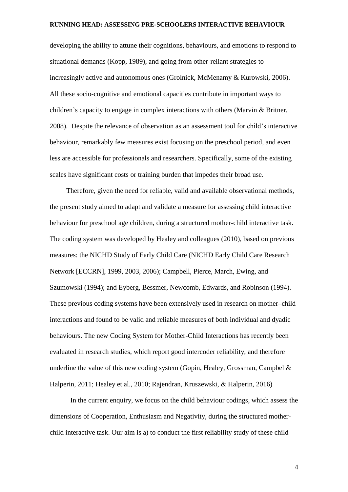developing the ability to attune their cognitions, behaviours, and emotions to respond to situational demands (Kopp, 1989), and going from other-reliant strategies to increasingly active and autonomous ones (Grolnick, McMenamy & Kurowski, 2006). All these socio-cognitive and emotional capacities contribute in important ways to children's capacity to engage in complex interactions with others (Marvin & Britner, 2008). Despite the relevance of observation as an assessment tool for child's interactive behaviour, remarkably few measures exist focusing on the preschool period, and even less are accessible for professionals and researchers. Specifically, some of the existing scales have significant costs or training burden that impedes their broad use.

Therefore, given the need for reliable, valid and available observational methods, the present study aimed to adapt and validate a measure for assessing child interactive behaviour for preschool age children, during a structured mother-child interactive task. The coding system was developed by Healey and colleagues (2010), based on previous measures: the NICHD Study of Early Child Care (NICHD Early Child Care Research Network [ECCRN], 1999, 2003, 2006); Campbell, Pierce, March, Ewing, and Szumowski (1994); and Eyberg, Bessmer, Newcomb, Edwards, and Robinson (1994). These previous coding systems have been extensively used in research on mother–child interactions and found to be valid and reliable measures of both individual and dyadic behaviours. The new Coding System for Mother-Child Interactions has recently been evaluated in research studies, which report good intercoder reliability, and therefore underline the value of this new coding system (Gopin, Healey, Grossman, Campbel  $\&$ Halperin, 2011; Healey et al., 2010; Rajendran, Kruszewski, & Halperin, 2016)

In the current enquiry, we focus on the child behaviour codings, which assess the dimensions of Cooperation, Enthusiasm and Negativity, during the structured motherchild interactive task. Our aim is a) to conduct the first reliability study of these child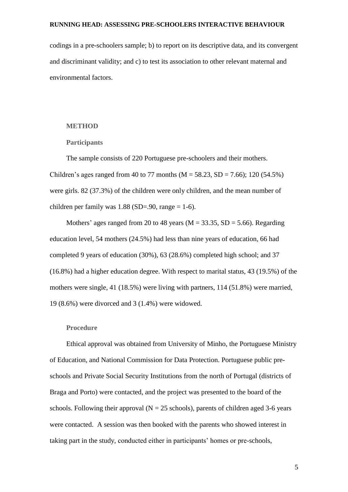codings in a pre-schoolers sample; b) to report on its descriptive data, and its convergent and discriminant validity; and c) to test its association to other relevant maternal and environmental factors.

# **METHOD**

## **Participants**

The sample consists of 220 Portuguese pre-schoolers and their mothers. Children's ages ranged from 40 to 77 months ( $M = 58.23$ ,  $SD = 7.66$ ); 120 (54.5%) were girls. 82 (37.3%) of the children were only children, and the mean number of children per family was  $1.88$  (SD=.90, range = 1-6).

Mothers' ages ranged from 20 to 48 years ( $M = 33.35$ ,  $SD = 5.66$ ). Regarding education level, 54 mothers (24.5%) had less than nine years of education, 66 had completed 9 years of education (30%), 63 (28.6%) completed high school; and 37 (16.8%) had a higher education degree. With respect to marital status, 43 (19.5%) of the mothers were single, 41 (18.5%) were living with partners, 114 (51.8%) were married, 19 (8.6%) were divorced and 3 (1.4%) were widowed.

# **Procedure**

Ethical approval was obtained from University of Minho, the Portuguese Ministry of Education, and National Commission for Data Protection. Portuguese public preschools and Private Social Security Institutions from the north of Portugal (districts of Braga and Porto) were contacted, and the project was presented to the board of the schools. Following their approval  $(N = 25$  schools), parents of children aged 3-6 years were contacted. A session was then booked with the parents who showed interest in taking part in the study, conducted either in participants' homes or pre-schools,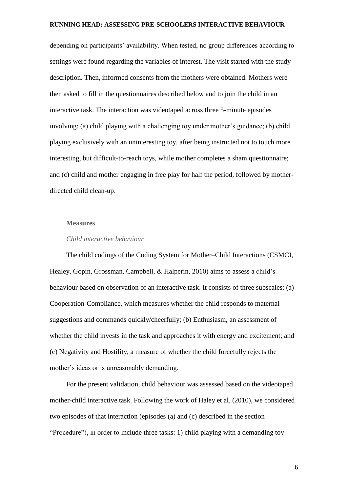depending on participants' availability. When tested, no group differences according to settings were found regarding the variables of interest. The visit started with the study description. Then, informed consents from the mothers were obtained. Mothers were then asked to fill in the questionnaires described below and to join the child in an interactive task. The interaction was videotaped across three 5-minute episodes involving: (a) child playing with a challenging toy under mother's guidance; (b) child playing exclusively with an uninteresting toy, after being instructed not to touch more interesting, but difficult-to-reach toys, while mother completes a sham questionnaire; and (c) child and mother engaging in free play for half the period, followed by motherdirected child clean-up.

#### **Measures**

#### *Child interactive behaviour*

The child codings of the Coding System for Mother–Child Interactions (CSMCI, Healey, Gopin, Grossman, Campbell, & Halperin, 2010) aims to assess a child's behaviour based on observation of an interactive task. It consists of three subscales: (a) Cooperation-Compliance, which measures whether the child responds to maternal suggestions and commands quickly/cheerfully; (b) Enthusiasm, an assessment of whether the child invests in the task and approaches it with energy and excitement; and (c) Negativity and Hostility, a measure of whether the child forcefully rejects the mother's ideas or is unreasonably demanding.

For the present validation, child behaviour was assessed based on the videotaped mother-child interactive task. Following the work of Haley et al. (2010), we considered two episodes of that interaction (episodes (a) and (c) described in the section "Procedure"), in order to include three tasks: 1) child playing with a demanding toy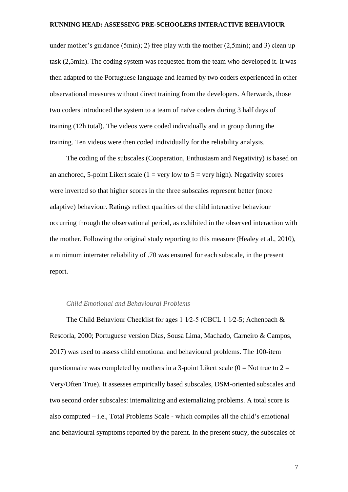under mother's guidance (5min); 2) free play with the mother (2,5min); and 3) clean up task (2,5min). The coding system was requested from the team who developed it. It was then adapted to the Portuguese language and learned by two coders experienced in other observational measures without direct training from the developers. Afterwards, those two coders introduced the system to a team of naïve coders during 3 half days of training (12h total). The videos were coded individually and in group during the training. Ten videos were then coded individually for the reliability analysis.

The coding of the subscales (Cooperation, Enthusiasm and Negativity) is based on an anchored, 5-point Likert scale ( $1 = \text{very low to } 5 = \text{very high}$ ). Negativity scores were inverted so that higher scores in the three subscales represent better (more adaptive) behaviour. Ratings reflect qualities of the child interactive behaviour occurring through the observational period, as exhibited in the observed interaction with the mother. Following the original study reporting to this measure (Healey et al., 2010), a minimum interrater reliability of .70 was ensured for each subscale, in the present report.

# *Child Emotional and Behavioural Problems*

The Child Behaviour Checklist for ages 1 1/2-5 (CBCL 1 1/2-5; Achenbach & Rescorla, 2000; Portuguese version Dias, Sousa Lima, Machado, Carneiro & Campos, 2017) was used to assess child emotional and behavioural problems. The 100-item questionnaire was completed by mothers in a 3-point Likert scale  $(0 = Not true to 2 =$ Very/Often True). It assesses empirically based subscales, DSM-oriented subscales and two second order subscales: internalizing and externalizing problems. A total score is also computed – i.e., Total Problems Scale - which compiles all the child's emotional and behavioural symptoms reported by the parent. In the present study, the subscales of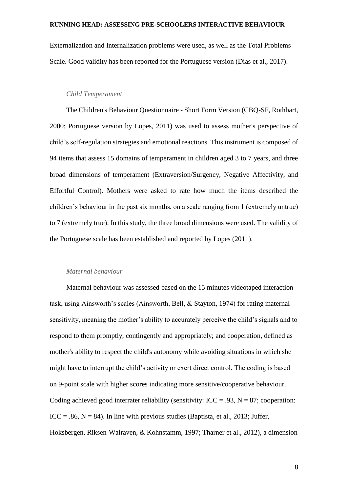Externalization and Internalization problems were used, as well as the Total Problems Scale. Good validity has been reported for the Portuguese version (Dias et al., 2017).

# *Child Temperament*

The Children's Behaviour Questionnaire - Short Form Version (CBQ-SF, Rothbart, 2000; Portuguese version by Lopes, 2011) was used to assess mother's perspective of child's self-regulation strategies and emotional reactions. This instrument is composed of 94 items that assess 15 domains of temperament in children aged 3 to 7 years, and three broad dimensions of temperament (Extraversion/Surgency, Negative Affectivity, and Effortful Control). Mothers were asked to rate how much the items described the children's behaviour in the past six months, on a scale ranging from 1 (extremely untrue) to 7 (extremely true). In this study, the three broad dimensions were used. The validity of the Portuguese scale has been established and reported by Lopes (2011).

#### *Maternal behaviour*

Maternal behaviour was assessed based on the 15 minutes videotaped interaction task, using Ainsworth's scales (Ainsworth, Bell, & Stayton, 1974) for rating maternal sensitivity, meaning the mother's ability to accurately perceive the child's signals and to respond to them promptly, contingently and appropriately; and cooperation, defined as mother's ability to respect the child's autonomy while avoiding situations in which she might have to interrupt the child's activity or exert direct control. The coding is based on 9-point scale with higher scores indicating more sensitive/cooperative behaviour. Coding achieved good interrater reliability (sensitivity:  $ICC = .93, N = 87$ ; cooperation:  $ICC = .86, N = 84)$ . In line with previous studies (Baptista, et al., 2013; Juffer, Hoksbergen, Riksen-Walraven, & Kohnstamm, 1997; Tharner et al., 2012), a dimension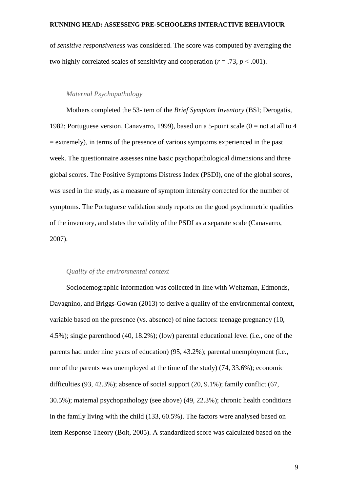of *sensitive responsiveness* was considered. The score was computed by averaging the two highly correlated scales of sensitivity and cooperation ( $r = .73$ ,  $p < .001$ ).

# *Maternal Psychopathology*

Mothers completed the 53-item of the *Brief Symptom Inventory* (BSI; Derogatis, 1982; Portuguese version, Canavarro, 1999), based on a 5-point scale  $(0 = not at all to 4$  $=$  extremely), in terms of the presence of various symptoms experienced in the past week. The questionnaire assesses nine basic psychopathological dimensions and three global scores. The Positive Symptoms Distress Index (PSDI), one of the global scores, was used in the study, as a measure of symptom intensity corrected for the number of symptoms. The Portuguese validation study reports on the good psychometric qualities of the inventory, and states the validity of the PSDI as a separate scale (Canavarro, 2007).

## *Quality of the environmental context*

Sociodemographic information was collected in line with Weitzman, Edmonds, Davagnino, and Briggs-Gowan (2013) to derive a quality of the environmental context, variable based on the presence (vs. absence) of nine factors: teenage pregnancy (10, 4.5%); single parenthood (40, 18.2%); (low) parental educational level (i.e., one of the parents had under nine years of education) (95, 43.2%); parental unemployment (i.e., one of the parents was unemployed at the time of the study) (74, 33.6%); economic difficulties (93, 42.3%); absence of social support (20, 9.1%); family conflict (67, 30.5%); maternal psychopathology (see above) (49, 22.3%); chronic health conditions in the family living with the child (133, 60.5%). The factors were analysed based on Item Response Theory (Bolt, 2005). A standardized score was calculated based on the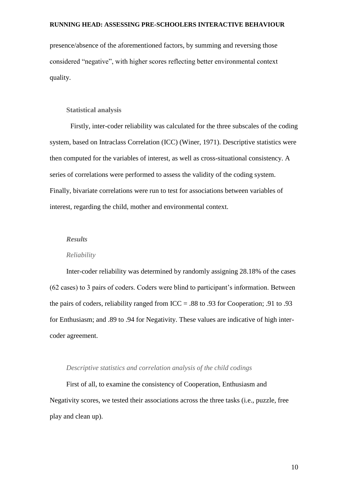presence/absence of the aforementioned factors, by summing and reversing those considered "negative", with higher scores reflecting better environmental context quality.

#### **Statistical analysis**

Firstly, inter-coder reliability was calculated for the three subscales of the coding system, based on Intraclass Correlation (ICC) (Winer, 1971). Descriptive statistics were then computed for the variables of interest, as well as cross-situational consistency. A series of correlations were performed to assess the validity of the coding system. Finally, bivariate correlations were run to test for associations between variables of interest, regarding the child, mother and environmental context.

#### *Results*

# *Reliability*

Inter-coder reliability was determined by randomly assigning 28.18% of the cases (62 cases) to 3 pairs of coders. Coders were blind to participant's information. Between the pairs of coders, reliability ranged from  $ICC = .88$  to .93 for Cooperation; .91 to .93 for Enthusiasm; and .89 to .94 for Negativity. These values are indicative of high intercoder agreement.

# *Descriptive statistics and correlation analysis of the child codings*

First of all, to examine the consistency of Cooperation, Enthusiasm and Negativity scores, we tested their associations across the three tasks (i.e., puzzle, free play and clean up).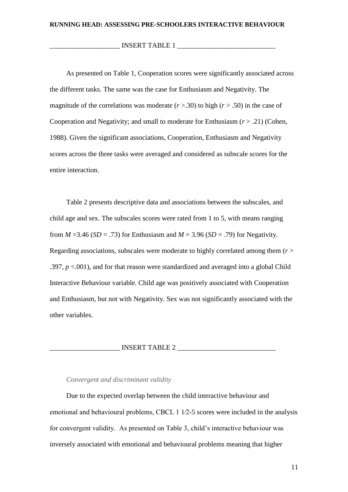\_\_\_\_\_\_\_\_\_\_\_\_\_\_\_\_\_\_\_\_ INSERT TABLE 1 \_\_\_\_\_\_\_\_\_\_\_\_\_\_\_\_\_\_\_\_\_\_\_\_\_\_\_\_

As presented on Table 1, Cooperation scores were significantly associated across the different tasks. The same was the case for Enthusiasm and Negativity. The magnitude of the correlations was moderate  $(r > .30)$  to high  $(r > .50)$  in the case of Cooperation and Negativity; and small to moderate for Enthusiasm (*r* > .21) (Cohen, 1988). Given the significant associations, Cooperation, Enthusiasm and Negativity scores across the three tasks were averaged and considered as subscale scores for the entire interaction.

Table 2 presents descriptive data and associations between the subscales, and child age and sex. The subscales scores were rated from 1 to 5, with means ranging from  $M = 3.46$  (*SD* = .73) for Enthusiasm and  $M = 3.96$  (*SD* = .79) for Negativity. Regarding associations, subscales were moderate to highly correlated among them (*r* > .397,  $p < 0.001$ ), and for that reason were standardized and averaged into a global Child Interactive Behaviour variable. Child age was positively associated with Cooperation and Enthusiasm, but not with Negativity. Sex was not significantly associated with the other variables.

\_\_\_\_\_\_\_\_\_\_\_\_\_\_\_\_\_\_\_\_ INSERT TABLE 2 \_\_\_\_\_\_\_\_\_\_\_\_\_\_\_\_\_\_\_\_\_\_\_\_\_\_\_\_

#### *Convergent and discriminant validity*

Due to the expected overlap between the child interactive behaviour and emotional and behavioural problems, CBCL 1 1/2-5 scores were included in the analysis for convergent validity. As presented on Table 3, child's interactive behaviour was inversely associated with emotional and behavioural problems meaning that higher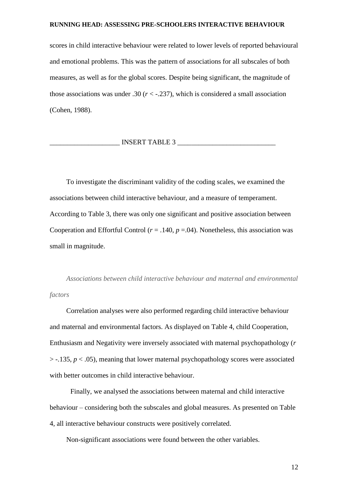scores in child interactive behaviour were related to lower levels of reported behavioural and emotional problems. This was the pattern of associations for all subscales of both measures, as well as for the global scores. Despite being significant, the magnitude of those associations was under .30 ( $r < -0.237$ ), which is considered a small association (Cohen, 1988).

# $\Box$  INSERT TABLE 3  $\Box$

To investigate the discriminant validity of the coding scales, we examined the associations between child interactive behaviour, and a measure of temperament. According to Table 3, there was only one significant and positive association between Cooperation and Effortful Control ( $r = .140$ ,  $p = .04$ ). Nonetheless, this association was small in magnitude.

*Associations between child interactive behaviour and maternal and environmental factors*

Correlation analyses were also performed regarding child interactive behaviour and maternal and environmental factors. As displayed on Table 4, child Cooperation, Enthusiasm and Negativity were inversely associated with maternal psychopathology (*r*  $>$ -.135,  $p < .05$ ), meaning that lower maternal psychopathology scores were associated with better outcomes in child interactive behaviour.

Finally, we analysed the associations between maternal and child interactive behaviour – considering both the subscales and global measures. As presented on Table 4, all interactive behaviour constructs were positively correlated.

Non-significant associations were found between the other variables.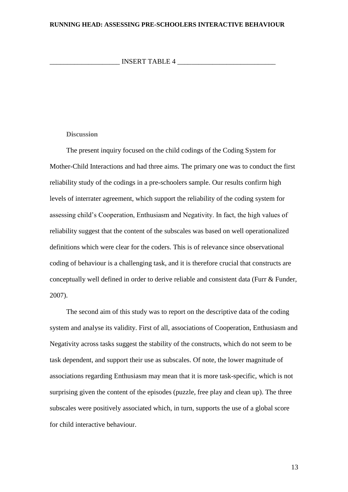INSERT TABLE 4

# **Discussion**

The present inquiry focused on the child codings of the Coding System for Mother-Child Interactions and had three aims. The primary one was to conduct the first reliability study of the codings in a pre-schoolers sample. Our results confirm high levels of interrater agreement, which support the reliability of the coding system for assessing child's Cooperation, Enthusiasm and Negativity. In fact, the high values of reliability suggest that the content of the subscales was based on well operationalized definitions which were clear for the coders. This is of relevance since observational coding of behaviour is a challenging task, and it is therefore crucial that constructs are conceptually well defined in order to derive reliable and consistent data (Furr & Funder, 2007).

The second aim of this study was to report on the descriptive data of the coding system and analyse its validity. First of all, associations of Cooperation, Enthusiasm and Negativity across tasks suggest the stability of the constructs, which do not seem to be task dependent, and support their use as subscales. Of note, the lower magnitude of associations regarding Enthusiasm may mean that it is more task-specific, which is not surprising given the content of the episodes (puzzle, free play and clean up). The three subscales were positively associated which, in turn, supports the use of a global score for child interactive behaviour.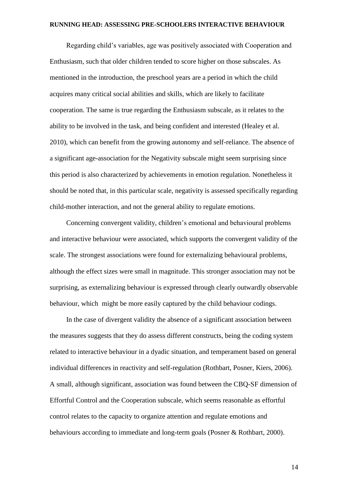Regarding child's variables, age was positively associated with Cooperation and Enthusiasm, such that older children tended to score higher on those subscales. As mentioned in the introduction, the preschool years are a period in which the child acquires many critical social abilities and skills, which are likely to facilitate cooperation. The same is true regarding the Enthusiasm subscale, as it relates to the ability to be involved in the task, and being confident and interested (Healey et al. 2010), which can benefit from the growing autonomy and self-reliance. The absence of a significant age-association for the Negativity subscale might seem surprising since this period is also characterized by achievements in emotion regulation. Nonetheless it should be noted that, in this particular scale, negativity is assessed specifically regarding child-mother interaction, and not the general ability to regulate emotions.

Concerning convergent validity, children's emotional and behavioural problems and interactive behaviour were associated, which supports the convergent validity of the scale. The strongest associations were found for externalizing behavioural problems, although the effect sizes were small in magnitude. This stronger association may not be surprising, as externalizing behaviour is expressed through clearly outwardly observable behaviour, which might be more easily captured by the child behaviour codings.

In the case of divergent validity the absence of a significant association between the measures suggests that they do assess different constructs, being the coding system related to interactive behaviour in a dyadic situation, and temperament based on general individual differences in reactivity and self-regulation (Rothbart, Posner, Kiers, 2006). A small, although significant, association was found between the CBQ-SF dimension of Effortful Control and the Cooperation subscale, which seems reasonable as effortful control relates to the capacity to organize attention and regulate emotions and behaviours according to immediate and long-term goals (Posner & Rothbart, 2000).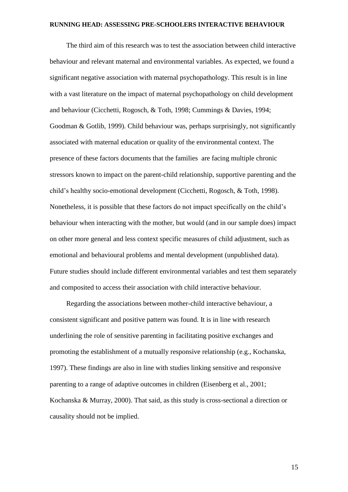The third aim of this research was to test the association between child interactive behaviour and relevant maternal and environmental variables. As expected, we found a significant negative association with maternal psychopathology. This result is in line with a vast literature on the impact of maternal psychopathology on child development and behaviour (Cicchetti, Rogosch, & Toth, 1998; Cummings & Davies, 1994; Goodman & Gotlib, 1999). Child behaviour was, perhaps surprisingly, not significantly associated with maternal education or quality of the environmental context. The presence of these factors documents that the families are facing multiple chronic stressors known to impact on the parent-child relationship, supportive parenting and the child's healthy socio-emotional development (Cicchetti, Rogosch, & Toth, 1998). Nonetheless, it is possible that these factors do not impact specifically on the child's behaviour when interacting with the mother, but would (and in our sample does) impact on other more general and less context specific measures of child adjustment, such as emotional and behavioural problems and mental development (unpublished data). Future studies should include different environmental variables and test them separately and composited to access their association with child interactive behaviour.

Regarding the associations between mother-child interactive behaviour, a consistent significant and positive pattern was found. It is in line with research underlining the role of sensitive parenting in facilitating positive exchanges and promoting the establishment of a mutually responsive relationship (e.g., Kochanska, 1997). These findings are also in line with studies linking sensitive and responsive parenting to a range of adaptive outcomes in children (Eisenberg et al., 2001; Kochanska & Murray, 2000). That said, as this study is cross-sectional a direction or causality should not be implied.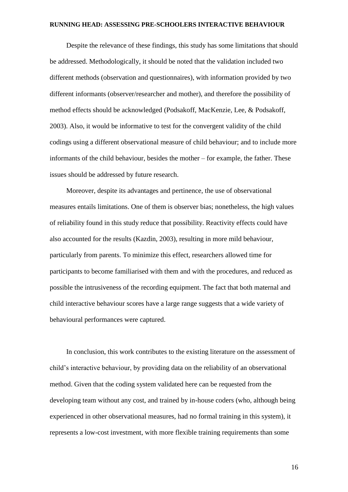Despite the relevance of these findings, this study has some limitations that should be addressed. Methodologically, it should be noted that the validation included two different methods (observation and questionnaires), with information provided by two different informants (observer/researcher and mother), and therefore the possibility of method effects should be acknowledged (Podsakoff, MacKenzie, Lee, & Podsakoff, 2003). Also, it would be informative to test for the convergent validity of the child codings using a different observational measure of child behaviour; and to include more informants of the child behaviour, besides the mother – for example, the father. These issues should be addressed by future research.

Moreover, despite its advantages and pertinence, the use of observational measures entails limitations. One of them is observer bias; nonetheless, the high values of reliability found in this study reduce that possibility. Reactivity effects could have also accounted for the results (Kazdin, 2003), resulting in more mild behaviour, particularly from parents. To minimize this effect, researchers allowed time for participants to become familiarised with them and with the procedures, and reduced as possible the intrusiveness of the recording equipment. The fact that both maternal and child interactive behaviour scores have a large range suggests that a wide variety of behavioural performances were captured.

In conclusion, this work contributes to the existing literature on the assessment of child's interactive behaviour, by providing data on the reliability of an observational method. Given that the coding system validated here can be requested from the developing team without any cost, and trained by in-house coders (who, although being experienced in other observational measures, had no formal training in this system), it represents a low-cost investment, with more flexible training requirements than some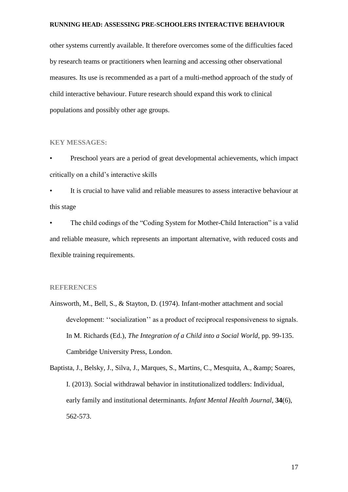other systems currently available. It therefore overcomes some of the difficulties faced by research teams or practitioners when learning and accessing other observational measures. Its use is recommended as a part of a multi-method approach of the study of child interactive behaviour. Future research should expand this work to clinical populations and possibly other age groups.

## **KEY MESSAGES:**

• Preschool years are a period of great developmental achievements, which impact critically on a child's interactive skills

It is crucial to have valid and reliable measures to assess interactive behaviour at this stage

The child codings of the "Coding System for Mother-Child Interaction" is a valid and reliable measure, which represents an important alternative, with reduced costs and flexible training requirements.

# **REFERENCES**

- Ainsworth, M., Bell, S., & Stayton, D. (1974). Infant-mother attachment and social development: ''socialization'' as a product of reciprocal responsiveness to signals. In M. Richards (Ed.), *The Integration of a Child into a Social World*, pp. 99-135. Cambridge University Press, London.
- Baptista, J., Belsky, J., Silva, J., Marques, S., Martins, C., Mesquita, A., & amp; Soares, I. (2013). Social withdrawal behavior in institutionalized toddlers: Individual, early family and institutional determinants. *Infant Mental Health Journal*, **34**(6), 562-573.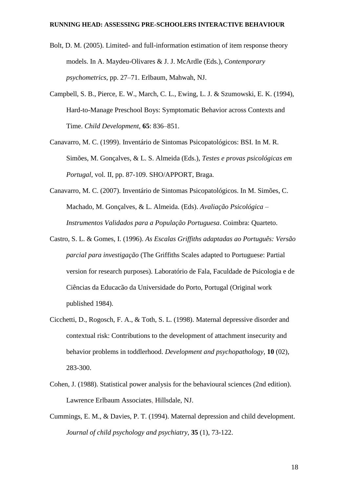- Bolt, D. M. (2005). Limited- and full-information estimation of item response theory models. In A. Maydeu-Olivares & J. J. McArdle (Eds.), *Contemporary psychometrics*, pp. 27–71. Erlbaum, Mahwah, NJ.
- Campbell, S. B., Pierce, E. W., March, C. L., Ewing, L. J. & Szumowski, E. K. (1994), Hard-to-Manage Preschool Boys: Symptomatic Behavior across Contexts and Time. *Child Development,* **65**: 836–851.
- Canavarro, M. C. (1999). Inventário de Sintomas Psicopatológicos: BSI. In M. R. Simões, M. Gonçalves, & L. S. Almeida (Eds.), *Testes e provas psicológicas em Portugal*, vol. II, pp. 87-109. SHO/APPORT, Braga.
- Canavarro, M. C. (2007). Inventário de Sintomas Psicopatológicos. In M. Simões, C. Machado, M. Gonçalves, & L. Almeida. (Eds). *Avaliação Psicológica – Instrumentos Validados para a População Portuguesa*. Coimbra: Quarteto.
- Castro, S. L. & Gomes, I. (1996). *As Escalas Griffiths adaptadas ao Português: Versão parcial para investigação* (The Griffiths Scales adapted to Portuguese: Partial version for research purposes). Laboratório de Fala, Faculdade de Psicologia e de Ciências da Educacão da Universidade do Porto, Portugal (Original work published 1984).
- Cicchetti, D., Rogosch, F. A., & Toth, S. L. (1998). Maternal depressive disorder and contextual risk: Contributions to the development of attachment insecurity and behavior problems in toddlerhood. *Development and psychopathology*, **10** (02), 283-300.
- Cohen, J. (1988). Statistical power analysis for the behavioural sciences (2nd edition). Lawrence Erlbaum Associates, Hillsdale, NJ.
- Cummings, E. M., & Davies, P. T. (1994). Maternal depression and child development. *Journal of child psychology and psychiatry*, **35** (1), 73-122.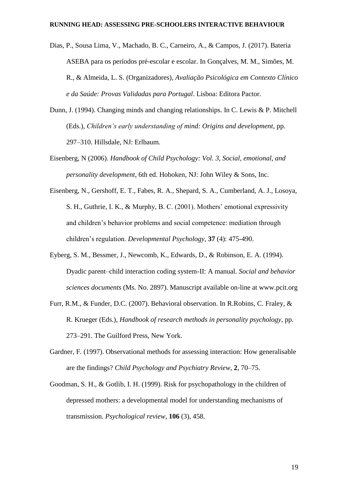- Dias, P., Sousa Lima, V., Machado, B. C., Carneiro, A., & Campos, J. (2017). Bateria ASEBA para os períodos pré-escolar e escolar. In Gonçalves, M. M., Simões, M. R., & Almeida, L. S. (Organizadores), *Avaliação Psicológica em Contexto Clínico e da Saúde: Provas Validadas para Portugal*. Lisboa: Editora Pactor.
- Dunn, J. (1994). Changing minds and changing relationships. In C. Lewis & P. Mitchell (Eds.), *Children's early understanding of mind: Origins and development*, pp. 297–310. Hillsdale, NJ: Erlbaum.
- Eisenberg, N (2006). *Handbook of Child Psychology: Vol. 3, Social, emotional, and personality development*, 6th ed. Hoboken, NJ: John Wiley & Sons, Inc.
- Eisenberg, N., Gershoff, E. T., Fabes, R. A., Shepard, S. A., Cumberland, A. J., Losoya, S. H., Guthrie, I. K., & Murphy, B. C. (2001). Mothers' emotional expressivity and children's behavior problems and social competence: mediation through children's regulation. *Developmental Psychology*, **37** (4): 475-490.
- Eyberg, S. M., Bessmer, J., Newcomb, K., Edwards, D., & Robinson, E. A. (1994). Dyadic parent–child interaction coding system-II: A manual. *Social and behavior sciences documents* (Ms. No. 2897). Manuscript available on-line at www.pcit.org
- Furr, R.M., & Funder, D.C. (2007). Behavioral observation. In R.Robins, C. Fraley, & R. Krueger (Eds.), *Handbook of research methods in personality psychology*, pp. 273–291. The Guilford Press, New York.
- Gardner, F. (1997). Observational methods for assessing interaction: How generalisable are the findings? *Child Psychology and Psychiatry Review*, **2**, 70–75.
- Goodman, S. H., & Gotlib, I. H. (1999). Risk for psychopathology in the children of depressed mothers: a developmental model for understanding mechanisms of transmission. *Psychological review*, **106** (3), 458.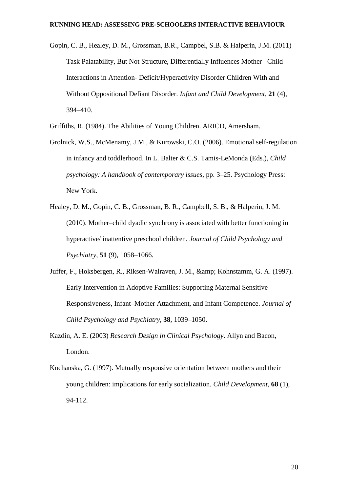Gopin, C. B., Healey, D. M., Grossman, B.R., Campbel, S.B. & Halperin, J.M. (2011) Task Palatability, But Not Structure, Differentially Influences Mother– Child Interactions in Attention- Deficit/Hyperactivity Disorder Children With and Without Oppositional Defiant Disorder. *Infant and Child Development*, **21** (4), 394–410.

Griffiths, R. (1984). The Abilities of Young Children. ARICD, Amersham.

- Grolnick, W.S., McMenamy, J.M., & Kurowski, C.O. (2006). Emotional self-regulation in infancy and toddlerhood. In L. Balter & C.S. Tamis-LeMonda (Eds.), *Child psychology: A handbook of contemporary issues*, pp. 3–25. Psychology Press: New York.
- Healey, D. M., Gopin, C. B., Grossman, B. R., Campbell, S. B., & Halperin, J. M. (2010). Mother–child dyadic synchrony is associated with better functioning in hyperactive/ inattentive preschool children. *Journal of Child Psychology and Psychiatry*, **51** (9), 1058–1066.
- Juffer, F., Hoksbergen, R., Riksen-Walraven, J. M., & amp; Kohnstamm, G. A. (1997). Early Intervention in Adoptive Families: Supporting Maternal Sensitive Responsiveness, Infant–Mother Attachment, and Infant Competence. *Journal of Child Psychology and Psychiatry*, **38**, 1039–1050.
- Kazdin, A. E. (2003) *Research Design in Clinical Psychology*. Allyn and Bacon, London.
- Kochanska, G. (1997). Mutually responsive orientation between mothers and their young children: implications for early socialization. *Child Development*, **68** (1), 94-112.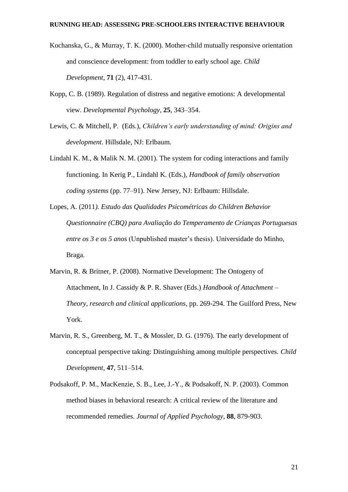- Kochanska, G., & Murray, T. K. (2000). Mother-child mutually responsive orientation and conscience development: from toddler to early school age. *Child Development*, **71** (2), 417-431.
- Kopp, C. B. (1989). Regulation of distress and negative emotions: A developmental view. *Developmental Psychology*, **25**, 343–354.
- Lewis, C. & Mitchell, P. (Eds.), *Children's early understanding of mind: Origins and development*. Hillsdale, NJ: Erlbaum.
- Lindahl K. M., & Malik N. M. (2001). The system for coding interactions and family functioning. In Kerig P., Lindahl K. (Eds.), *Handbook of family observation coding systems* (pp. 77–91). New Jersey, NJ: Erlbaum: Hillsdale.
- Lopes, A. (2011*). Estudo das Qualidades Psicométricas do Children Behavior Questionnaire (CBQ) para Avaliação do Temperamento de Crianças Portuguesas entre os 3 e os 5 anos* (Unpublished master's thesis). Universidade do Minho, Braga.
- Marvin, R. & Britner, P. (2008). Normative Development: The Ontogeny of Attachment, In J. Cassidy & P. R. Shaver (Eds.) *Handbook of Attachment – Theory, research and clinical applications*, pp. 269-294. The Guilford Press, New York.
- Marvin, R. S., Greenberg, M. T., & Mossler, D. G. (1976). The early development of conceptual perspective taking: Distinguishing among multiple perspectives. *Child Development*, **47**, 511–514.
- Podsakoff, P. M., MacKenzie, S. B., Lee, J.-Y., & Podsakoff, N. P. (2003). Common method biases in behavioral research: A critical review of the literature and recommended remedies. *Journal of Applied Psychology*, **88**, 879-903.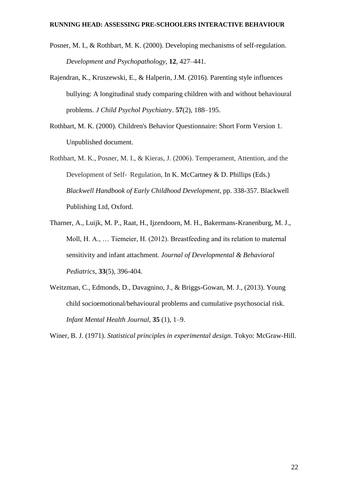- Posner, M. I., & Rothbart, M. K. (2000). Developing mechanisms of self-regulation. *Development and Psychopathology*, **12**, 427–441.
- Rajendran, K., Kruszewski, E., & Halperin, J.M. (2016). Parenting style influences bullying: A longitudinal study comparing children with and without behavioural problems. *J Child Psychol Psychiatry*. **57**(2), 188–195.
- Rothbart, M. K. (2000). Children's Behavior Questionnaire: Short Form Version 1. Unpublished document.
- Rothbart, M. K., Posner, M. I., & Kieras, J. (2006). Temperament, Attention, and the Development of Self-Regulation, In K. McCartney & D. Phillips (Eds.) *Blackwell Handbook of Early Childhood Development*, pp. 338-357. Blackwell Publishing Ltd, Oxford.
- Tharner, A., Luijk, M. P., Raat, H., Ijzendoorn, M. H., Bakermans-Kranenburg, M. J., Moll, H. A., … Tiemeier, H. (2012). Breastfeeding and its relation to maternal sensitivity and infant attachment. *Journal of Developmental & Behavioral Pediatrics*, **33**(5), 396-404.
- Weitzman, C., Edmonds, D., Davagnino, J., & Briggs-Gowan, M. J., (2013). Young child socioemotional/behavioural problems and cumulative psychosocial risk. *Infant Mental Health Journal*, **35** (1), 1–9.

Winer, B. J. (1971). *Statistical principles in experimental design*. Tokyo: McGraw-Hill.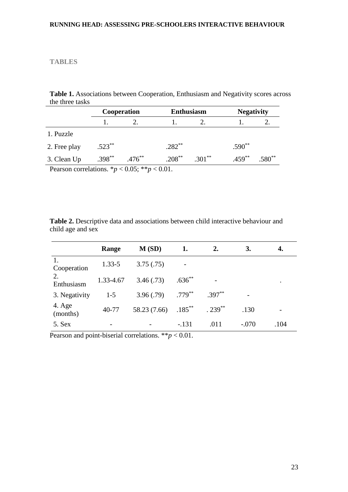# **TABLES**

**Table 1.** Associations between Cooperation, Enthusiasm and Negativity scores across the three tasks

|                                                       | Cooperation |           | <b>Enthusiasm</b> |           | <b>Negativity</b> |          |
|-------------------------------------------------------|-------------|-----------|-------------------|-----------|-------------------|----------|
|                                                       |             |           |                   |           |                   |          |
| 1. Puzzle                                             |             |           |                   |           |                   |          |
| 2. Free play                                          | $.523***$   |           | $.282**$          |           | $.590**$          |          |
| 3. Clean Up                                           | $.398***$   | $.476***$ | $.208***$         | $.301***$ | $.459***$         | $.580**$ |
| Decrease correlations $x_n \ge 0.05$ , $x_n \ge 0.01$ |             |           |                   |           |                   |          |

Pearson correlations.  $* p < 0.05$ ;  $** p < 0.01$ .

**Table 2.** Descriptive data and associations between child interactive behaviour and child age and sex

|                    | Range      | M(SD)        | 1.        | 2.        | 3.      | 4.   |
|--------------------|------------|--------------|-----------|-----------|---------|------|
| 1.<br>Cooperation  | $1.33 - 5$ | 3.75(.75)    |           |           |         |      |
| 2.<br>Enthusiasm   | 1.33-4.67  | 3.46(.73)    | $.636**$  |           |         | ٠    |
| 3. Negativity      | $1-5$      | 3.96(.79)    | $.779***$ | $.397**$  |         |      |
| 4. Age<br>(months) | 40-77      | 58.23 (7.66) | $.185***$ | $.239***$ | .130    |      |
| 5. Sex             |            |              | $-.131$   | .011      | $-.070$ | .104 |

Pearson and point-biserial correlations.  $**p < 0.01$ .